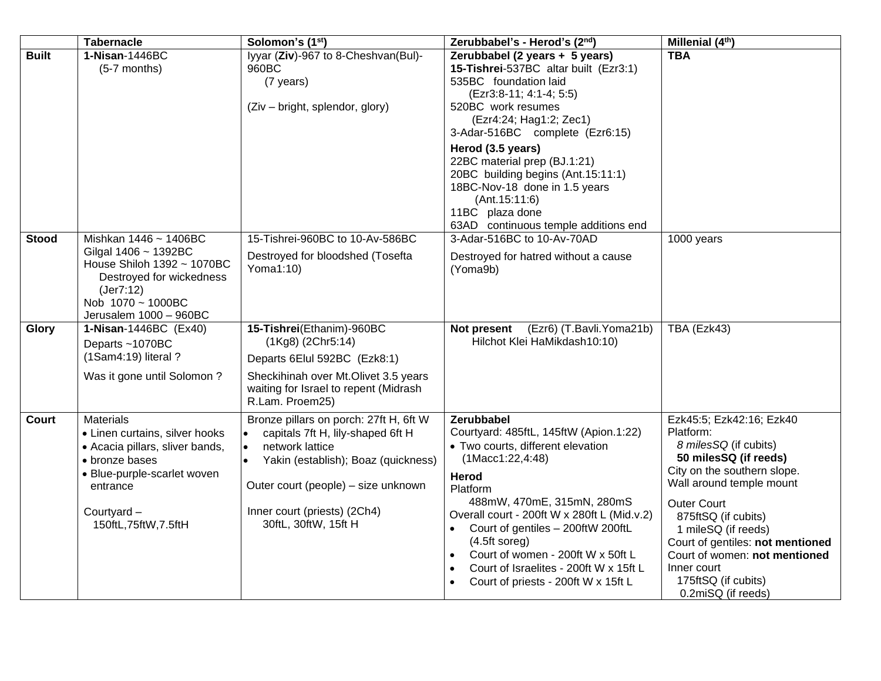|              | <b>Tabernacle</b>                                                                                                                                                                          | Solomon's (1st)                                                                                                                                                                                                                                   | Zerubbabel's - Herod's (2nd)                                                                                                                                                                                                                                                                                                                                                                                            | Millenial (4 <sup>th</sup> )                                                                                                                                                                                                                                                                                                                            |
|--------------|--------------------------------------------------------------------------------------------------------------------------------------------------------------------------------------------|---------------------------------------------------------------------------------------------------------------------------------------------------------------------------------------------------------------------------------------------------|-------------------------------------------------------------------------------------------------------------------------------------------------------------------------------------------------------------------------------------------------------------------------------------------------------------------------------------------------------------------------------------------------------------------------|---------------------------------------------------------------------------------------------------------------------------------------------------------------------------------------------------------------------------------------------------------------------------------------------------------------------------------------------------------|
| <b>Built</b> | 1-Nisan-1446BC<br>$(5-7$ months)                                                                                                                                                           | lyyar (Ziv)-967 to 8-Cheshvan(Bul)-<br>960BC<br>(7 years)<br>(Ziv – bright, splendor, glory)                                                                                                                                                      | Zerubbabel (2 years + 5 years)<br>15-Tishrei-537BC altar built (Ezr3:1)<br>535BC foundation laid<br>(Ezr3:8-11; 4:1-4; 5:5)<br>520BC work resumes<br>(Ezr4:24; Hag1:2; Zec1)<br>3-Adar-516BC complete (Ezr6:15)<br>Herod (3.5 years)<br>22BC material prep (BJ.1:21)<br>20BC building begins (Ant.15:11:1)<br>18BC-Nov-18 done in 1.5 years<br>(Ant.15:11:6)<br>11BC plaza done<br>63AD continuous temple additions end | <b>TBA</b>                                                                                                                                                                                                                                                                                                                                              |
| <b>Stood</b> | Mishkan 1446 ~ 1406BC                                                                                                                                                                      | 15-Tishrei-960BC to 10-Av-586BC                                                                                                                                                                                                                   | 3-Adar-516BC to 10-Av-70AD                                                                                                                                                                                                                                                                                                                                                                                              | 1000 years                                                                                                                                                                                                                                                                                                                                              |
|              | Gilgal 1406 ~ 1392BC<br>House Shiloh 1392 ~ 1070BC<br>Destroyed for wickedness<br>(Jer7:12)<br>Nob 1070 ~ 1000BC<br>Jerusalem 1000 - 960BC                                                 | Destroyed for bloodshed (Tosefta<br>Yoma1:10)                                                                                                                                                                                                     | Destroyed for hatred without a cause<br>(Yoma9b)                                                                                                                                                                                                                                                                                                                                                                        |                                                                                                                                                                                                                                                                                                                                                         |
| Glory        | 1-Nisan-1446BC (Ex40)<br>Departs ~1070BC<br>(1Sam4:19) literal ?<br>Was it gone until Solomon?                                                                                             | 15-Tishrei(Ethanim)-960BC<br>(1Kg8) (2Chr5:14)<br>Departs 6Elul 592BC (Ezk8:1)<br>Sheckihinah over Mt.Olivet 3.5 years<br>waiting for Israel to repent (Midrash<br>R.Lam. Proem25)                                                                | (Ezr6) (T.Bavli.Yoma21b)<br>Not present<br>Hilchot Klei HaMikdash10:10)                                                                                                                                                                                                                                                                                                                                                 | TBA (Ezk43)                                                                                                                                                                                                                                                                                                                                             |
| Court        | <b>Materials</b><br>• Linen curtains, silver hooks<br>• Acacia pillars, sliver bands,<br>• bronze bases<br>• Blue-purple-scarlet woven<br>entrance<br>Courtyard -<br>150ftL, 75ftW, 7.5ftH | Bronze pillars on porch: 27ft H, 6ft W<br>capitals 7ft H, lily-shaped 6ft H<br>network lattice<br>$\bullet$<br>Yakin (establish); Boaz (quickness)<br>Outer court (people) - size unknown<br>Inner court (priests) (2Ch4)<br>30ftL, 30ftW, 15ft H | Zerubbabel<br>Courtyard: 485ftL, 145ftW (Apion.1:22)<br>• Two courts, different elevation<br>(1Macc1:22,4:48)<br><b>Herod</b><br>Platform<br>488mW, 470mE, 315mN, 280mS<br>Overall court - 200ft W x 280ft L (Mid.v.2)<br>Court of gentiles - 200ftW 200ftL<br>(4.5ft soreg)<br>Court of women - 200ft W x 50ft L<br>Court of Israelites - 200ft W x 15ft L<br>Court of priests - 200ft W x 15ft L<br>$\bullet$         | Ezk45:5; Ezk42:16; Ezk40<br>Platform:<br>8 milesSQ (if cubits)<br>50 milesSQ (if reeds)<br>City on the southern slope.<br>Wall around temple mount<br><b>Outer Court</b><br>875ftSQ (if cubits)<br>1 mileSQ (if reeds)<br>Court of gentiles: not mentioned<br>Court of women: not mentioned<br>Inner court<br>175ftSQ (if cubits)<br>0.2miSQ (if reeds) |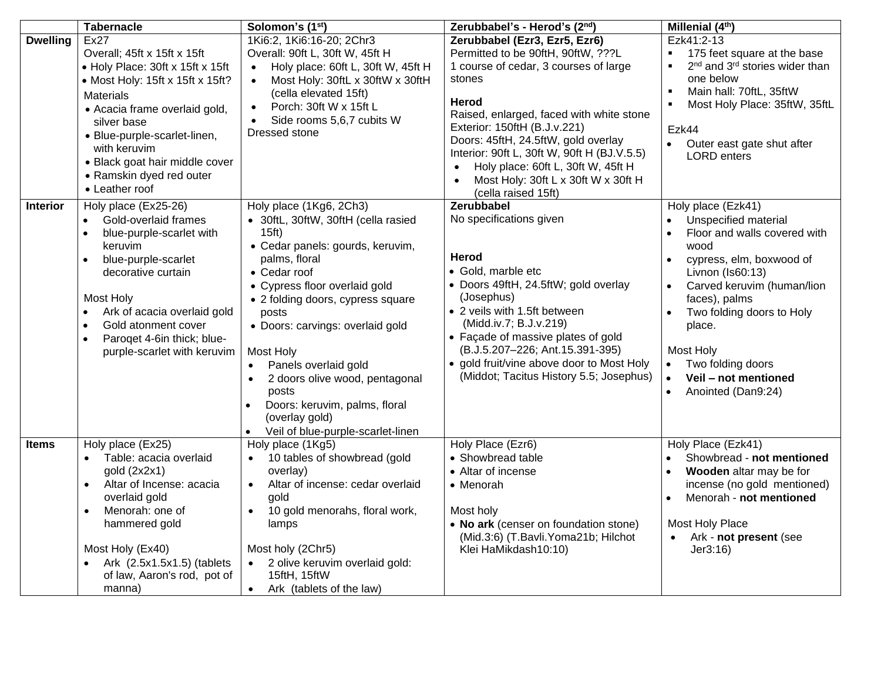|                 | <b>Tabernacle</b>                                                                                                                                                                                                                                                                                               | Solomon's (1st)                                                                                                                                                                                                                                                                                                                                                                                                                                      | Zerubbabel's - Herod's (2nd)                                                                                                                                                                                                                                                                                                                                                                                       | Millenial $(\overline{4^{th}})$                                                                                                                                                                                                                                                                                                    |
|-----------------|-----------------------------------------------------------------------------------------------------------------------------------------------------------------------------------------------------------------------------------------------------------------------------------------------------------------|------------------------------------------------------------------------------------------------------------------------------------------------------------------------------------------------------------------------------------------------------------------------------------------------------------------------------------------------------------------------------------------------------------------------------------------------------|--------------------------------------------------------------------------------------------------------------------------------------------------------------------------------------------------------------------------------------------------------------------------------------------------------------------------------------------------------------------------------------------------------------------|------------------------------------------------------------------------------------------------------------------------------------------------------------------------------------------------------------------------------------------------------------------------------------------------------------------------------------|
| <b>Dwelling</b> | Ex27<br>Overall; 45ft x 15ft x 15ft<br>• Holy Place: 30ft x 15ft x 15ft<br>• Most Holy: 15ft x 15ft x 15ft?<br><b>Materials</b><br>· Acacia frame overlaid gold,<br>silver base<br>• Blue-purple-scarlet-linen,<br>with keruvim<br>• Black goat hair middle cover<br>• Ramskin dyed red outer<br>• Leather roof | 1Ki6:2, 1Ki6:16-20; 2Chr3<br>Overall: 90ft L, 30ft W, 45ft H<br>Holy place: 60ft L, 30ft W, 45ft H<br>Most Holy: 30ftL x 30ftW x 30ftH<br>(cella elevated 15ft)<br>Porch: 30ft W x 15ft L<br>$\bullet$<br>Side rooms 5,6,7 cubits W<br>Dressed stone                                                                                                                                                                                                 | Zerubbabel (Ezr3, Ezr5, Ezr6)<br>Permitted to be 90ftH, 90ftW, ???L<br>1 course of cedar, 3 courses of large<br>stones<br>Herod<br>Raised, enlarged, faced with white stone<br>Exterior: 150ftH (B.J.v.221)<br>Doors: 45ftH, 24.5ftW, gold overlay<br>Interior: 90ft L, 30ft W, 90ft H (BJ.V.5.5)<br>Holy place: 60ft L, 30ft W, 45ft H<br>$\bullet$<br>Most Holy: 30ft L x 30ft W x 30ft H<br>(cella raised 15ft) | Ezk41:2-13<br>175 feet square at the base<br>2 <sup>nd</sup> and 3 <sup>rd</sup> stories wider than<br>one below<br>Main hall: 70ftL, 35ftW<br>Most Holy Place: 35ftW, 35ftL<br>Ezk44<br>Outer east gate shut after<br><b>LORD</b> enters                                                                                          |
| Interior        | Holy place (Ex25-26)<br>Gold-overlaid frames<br>blue-purple-scarlet with<br>keruvim<br>blue-purple-scarlet<br>$\bullet$<br>decorative curtain<br>Most Holy<br>Ark of acacia overlaid gold<br>Gold atonment cover<br>Paroqet 4-6in thick; blue-<br>purple-scarlet with keruvim                                   | Holy place (1Kg6, 2Ch3)<br>• 30ftL, 30ftW, 30ftH (cella rasied<br>15ft)<br>• Cedar panels: gourds, keruvim,<br>palms, floral<br>• Cedar roof<br>• Cypress floor overlaid gold<br>• 2 folding doors, cypress square<br>posts<br>• Doors: carvings: overlaid gold<br>Most Holy<br>Panels overlaid gold<br>2 doors olive wood, pentagonal<br>posts<br>Doors: keruvim, palms, floral<br>$\bullet$<br>(overlay gold)<br>Veil of blue-purple-scarlet-linen | Zerubbabel<br>No specifications given<br>Herod<br>· Gold, marble etc<br>• Doors 49ftH, 24.5ftW; gold overlay<br>(Josephus)<br>• 2 veils with 1.5ft between<br>(Midd.iv.7; B.J.v.219)<br>• Façade of massive plates of gold<br>(B.J.5.207-226; Ant.15.391-395)<br>• gold fruit/vine above door to Most Holy<br>(Middot; Tacitus History 5.5; Josephus)                                                              | Holy place (Ezk41)<br>Unspecified material<br>Floor and walls covered with<br>wood<br>cypress, elm, boxwood of<br>$\bullet$<br>Livnon (Is60:13)<br>Carved keruvim (human/lion<br>$\bullet$<br>faces), palms<br>Two folding doors to Holy<br>place.<br>Most Holy<br>Two folding doors<br>Veil - not mentioned<br>Anointed (Dan9:24) |
| <b>Items</b>    | Holy place (Ex25)<br>Table: acacia overlaid<br>gold (2x2x1)<br>Altar of Incense: acacia<br>$\bullet$<br>overlaid gold<br>Menorah: one of<br>$\bullet$<br>hammered gold<br>Most Holy (Ex40)<br>Ark (2.5x1.5x1.5) (tablets<br>of law, Aaron's rod, pot of<br>manna)                                               | Holy place (1Kg5)<br>10 tables of showbread (gold<br>overlay)<br>Altar of incense: cedar overlaid<br>$\bullet$<br>gold<br>10 gold menorahs, floral work,<br>lamps<br>Most holy (2Chr5)<br>• 2 olive keruvim overlaid gold:<br>15ftH, 15ftW<br>Ark (tablets of the law)<br>$\bullet$                                                                                                                                                                  | Holy Place (Ezr6)<br>• Showbread table<br>• Altar of incense<br>• Menorah<br>Most holy<br>• No ark (censer on foundation stone)<br>(Mid.3:6) (T.Bavli.Yoma21b; Hilchot<br>Klei HaMikdash10:10)                                                                                                                                                                                                                     | Holy Place (Ezk41)<br>Showbread - not mentioned<br>Wooden altar may be for<br>incense (no gold mentioned)<br>Menorah - not mentioned<br>Most Holy Place<br>Ark - not present (see<br>Jer3:16)                                                                                                                                      |